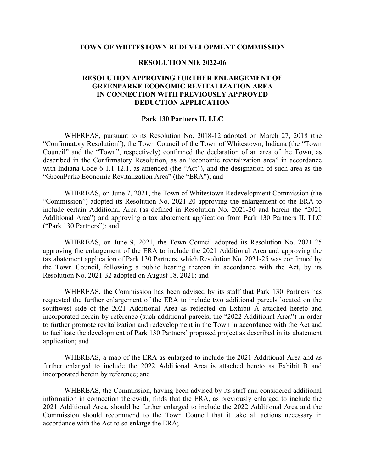#### **TOWN OF WHITESTOWN REDEVELOPMENT COMMISSION**

## **RESOLUTION NO. 2022-06**

## **RESOLUTION APPROVING FURTHER ENLARGEMENT OF GREENPARKE ECONOMIC REVITALIZATION AREA IN CONNECTION WITH PREVIOUSLY APPROVED DEDUCTION APPLICATION**

### **Park 130 Partners II, LLC**

WHEREAS, pursuant to its Resolution No. 2018-12 adopted on March 27, 2018 (the "Confirmatory Resolution"), the Town Council of the Town of Whitestown, Indiana (the "Town Council" and the "Town", respectively) confirmed the declaration of an area of the Town, as described in the Confirmatory Resolution, as an "economic revitalization area" in accordance with Indiana Code 6-1.1-12.1, as amended (the "Act"), and the designation of such area as the "GreenParke Economic Revitalization Area" (the "ERA"); and

WHEREAS, on June 7, 2021, the Town of Whitestown Redevelopment Commission (the "Commission") adopted its Resolution No. 2021-20 approving the enlargement of the ERA to include certain Additional Area (as defined in Resolution No. 2021-20 and herein the "2021 Additional Area") and approving a tax abatement application from Park 130 Partners II, LLC ("Park 130 Partners"); and

WHEREAS, on June 9, 2021, the Town Council adopted its Resolution No. 2021-25 approving the enlargement of the ERA to include the 2021 Additional Area and approving the tax abatement application of Park 130 Partners, which Resolution No. 2021-25 was confirmed by the Town Council, following a public hearing thereon in accordance with the Act, by its Resolution No. 2021-32 adopted on August 18, 2021; and

WHEREAS, the Commission has been advised by its staff that Park 130 Partners has requested the further enlargement of the ERA to include two additional parcels located on the southwest side of the 2021 Additional Area as reflected on Exhibit A attached hereto and incorporated herein by reference (such additional parcels, the "2022 Additional Area") in order to further promote revitalization and redevelopment in the Town in accordance with the Act and to facilitate the development of Park 130 Partners' proposed project as described in its abatement application; and

WHEREAS, a map of the ERA as enlarged to include the 2021 Additional Area and as further enlarged to include the 2022 Additional Area is attached hereto as Exhibit B and incorporated herein by reference; and

WHEREAS, the Commission, having been advised by its staff and considered additional information in connection therewith, finds that the ERA, as previously enlarged to include the 2021 Additional Area, should be further enlarged to include the 2022 Additional Area and the Commission should recommend to the Town Council that it take all actions necessary in accordance with the Act to so enlarge the ERA;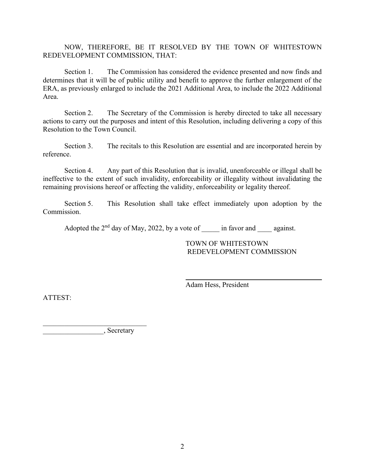NOW, THEREFORE, BE IT RESOLVED BY THE TOWN OF WHITESTOWN REDEVELOPMENT COMMISSION, THAT:

Section 1. The Commission has considered the evidence presented and now finds and determines that it will be of public utility and benefit to approve the further enlargement of the ERA, as previously enlarged to include the 2021 Additional Area, to include the 2022 Additional Area.

Section 2. The Secretary of the Commission is hereby directed to take all necessary actions to carry out the purposes and intent of this Resolution, including delivering a copy of this Resolution to the Town Council.

Section 3. The recitals to this Resolution are essential and are incorporated herein by reference.

Section 4. Any part of this Resolution that is invalid, unenforceable or illegal shall be ineffective to the extent of such invalidity, enforceability or illegality without invalidating the remaining provisions hereof or affecting the validity, enforceability or legality thereof.

Section 5. This Resolution shall take effect immediately upon adoption by the Commission.

Adopted the  $2<sup>nd</sup>$  day of May, 2022, by a vote of  $\qquad$  in favor and against.

TOWN OF WHITESTOWN REDEVELOPMENT COMMISSION

Adam Hess, President

ATTEST:

\_\_\_\_\_\_\_\_\_\_\_\_\_\_\_\_\_, Secretary

\_\_\_\_\_\_\_\_\_\_\_\_\_\_\_\_\_\_\_\_\_\_\_\_\_\_\_\_\_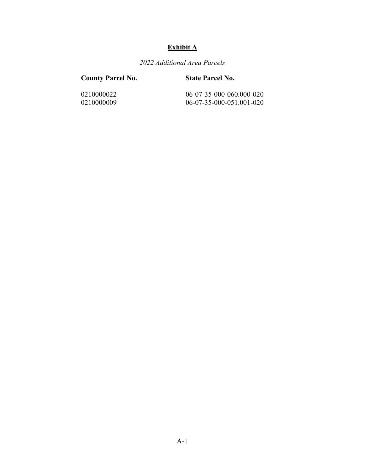# **Exhibit A**

*2022 Additional Area Parcels* 

## **County Parcel No. State Parcel No.**

0210000022 06-07-35-000-060.000-020<br>0210000009 06-07-35-000-051.001-020 0210000009 06-07-35-000-051.001-020